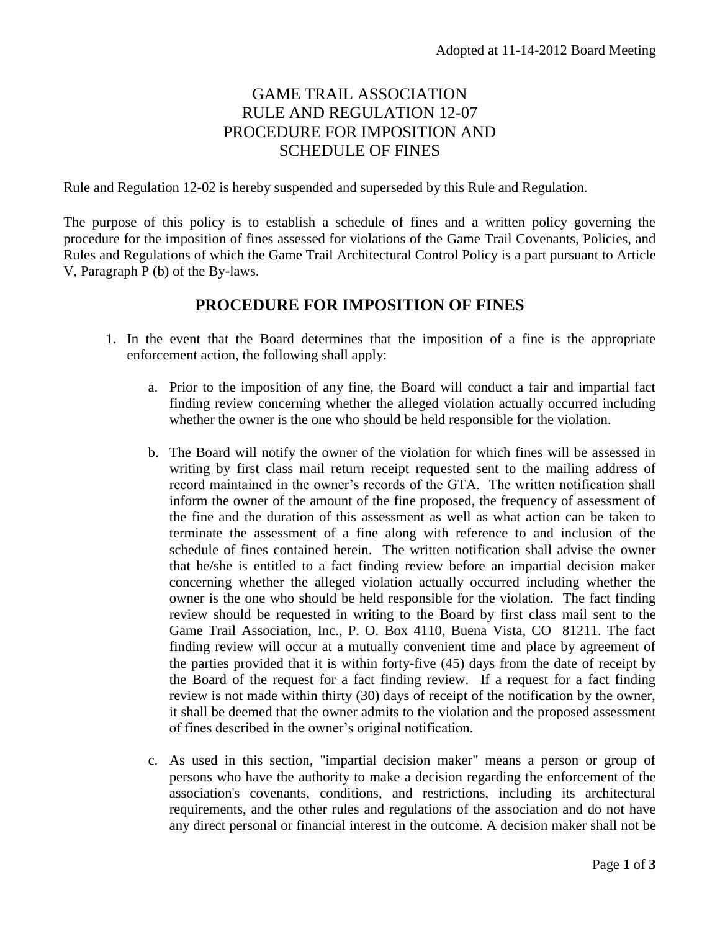## GAME TRAIL ASSOCIATION RULE AND REGULATION 12-07 PROCEDURE FOR IMPOSITION AND SCHEDULE OF FINES

Rule and Regulation 12-02 is hereby suspended and superseded by this Rule and Regulation.

The purpose of this policy is to establish a schedule of fines and a written policy governing the procedure for the imposition of fines assessed for violations of the Game Trail Covenants, Policies, and Rules and Regulations of which the Game Trail Architectural Control Policy is a part pursuant to Article V, Paragraph P (b) of the By-laws.

## **PROCEDURE FOR IMPOSITION OF FINES**

- 1. In the event that the Board determines that the imposition of a fine is the appropriate enforcement action, the following shall apply:
	- a. Prior to the imposition of any fine, the Board will conduct a fair and impartial fact finding review concerning whether the alleged violation actually occurred including whether the owner is the one who should be held responsible for the violation.
	- b. The Board will notify the owner of the violation for which fines will be assessed in writing by first class mail return receipt requested sent to the mailing address of record maintained in the owner's records of the GTA. The written notification shall inform the owner of the amount of the fine proposed, the frequency of assessment of the fine and the duration of this assessment as well as what action can be taken to terminate the assessment of a fine along with reference to and inclusion of the schedule of fines contained herein. The written notification shall advise the owner that he/she is entitled to a fact finding review before an impartial decision maker concerning whether the alleged violation actually occurred including whether the owner is the one who should be held responsible for the violation. The fact finding review should be requested in writing to the Board by first class mail sent to the Game Trail Association, Inc., P. O. Box 4110, Buena Vista, CO 81211. The fact finding review will occur at a mutually convenient time and place by agreement of the parties provided that it is within forty-five (45) days from the date of receipt by the Board of the request for a fact finding review. If a request for a fact finding review is not made within thirty (30) days of receipt of the notification by the owner, it shall be deemed that the owner admits to the violation and the proposed assessment of fines described in the owner's original notification.
	- c. As used in this section, "impartial decision maker" means a person or group of persons who have the authority to make a decision regarding the enforcement of the association's covenants, conditions, and restrictions, including its architectural requirements, and the other rules and regulations of the association and do not have any direct personal or financial interest in the outcome. A decision maker shall not be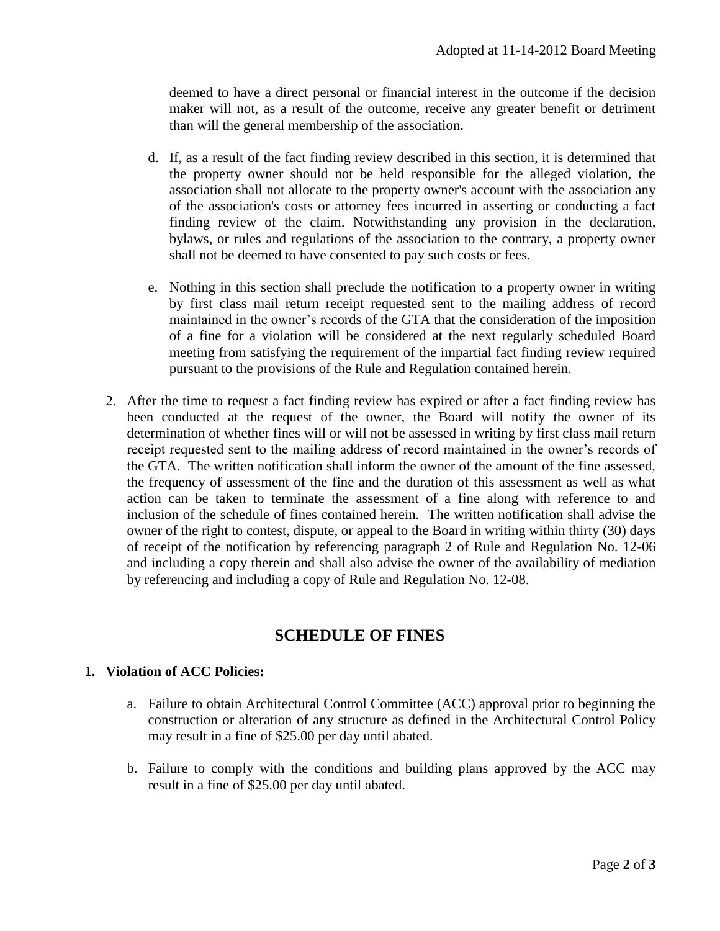deemed to have a direct personal or financial interest in the outcome if the decision maker will not, as a result of the outcome, receive any greater benefit or detriment than will the general membership of the association.

- d. If, as a result of the fact finding review described in this section, it is determined that the property owner should not be held responsible for the alleged violation, the association shall not allocate to the property owner's account with the association any of the association's costs or attorney fees incurred in asserting or conducting a fact finding review of the claim. Notwithstanding any provision in the declaration, bylaws, or rules and regulations of the association to the contrary, a property owner shall not be deemed to have consented to pay such costs or fees.
- e. Nothing in this section shall preclude the notification to a property owner in writing by first class mail return receipt requested sent to the mailing address of record maintained in the owner's records of the GTA that the consideration of the imposition of a fine for a violation will be considered at the next regularly scheduled Board meeting from satisfying the requirement of the impartial fact finding review required pursuant to the provisions of the Rule and Regulation contained herein.
- 2. After the time to request a fact finding review has expired or after a fact finding review has been conducted at the request of the owner, the Board will notify the owner of its determination of whether fines will or will not be assessed in writing by first class mail return receipt requested sent to the mailing address of record maintained in the owner's records of the GTA. The written notification shall inform the owner of the amount of the fine assessed, the frequency of assessment of the fine and the duration of this assessment as well as what action can be taken to terminate the assessment of a fine along with reference to and inclusion of the schedule of fines contained herein. The written notification shall advise the owner of the right to contest, dispute, or appeal to the Board in writing within thirty (30) days of receipt of the notification by referencing paragraph 2 of Rule and Regulation No. 12-06 and including a copy therein and shall also advise the owner of the availability of mediation by referencing and including a copy of Rule and Regulation No. 12-08.

## **SCHEDULE OF FINES**

## **1. Violation of ACC Policies:**

- a. Failure to obtain Architectural Control Committee (ACC) approval prior to beginning the construction or alteration of any structure as defined in the Architectural Control Policy may result in a fine of \$25.00 per day until abated.
- b. Failure to comply with the conditions and building plans approved by the ACC may result in a fine of \$25.00 per day until abated.